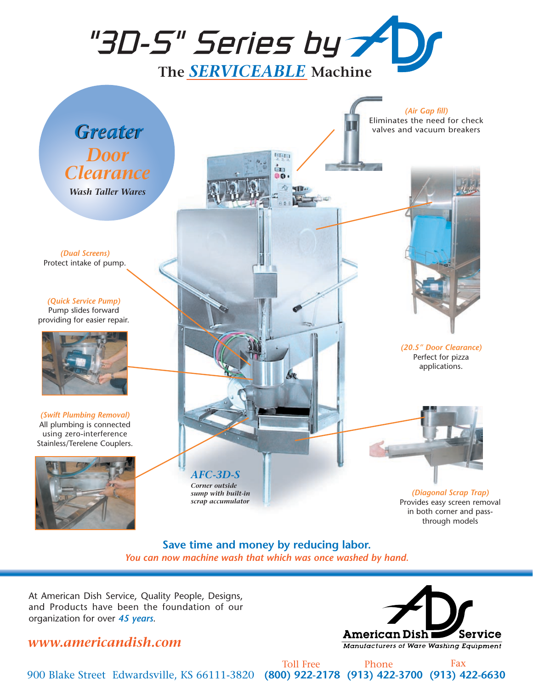

clater Éв  $66$ 

*Greater Greater Door Clearance Wash Taller Wares*

*(Dual Screens)* Protect intake of pump.

*(Quick Service Pump)* Pump slides forward providing for easier repair.



*(Swift Plumbing Removal)* All plumbing is connected using zero-interference Stainless/Terelene Couplers.



*(Air Gap fill)* Eliminates the need for check valves and vacuum breakers



*(20.5" Door Clearance)* Perfect for pizza applications.



*(Diagonal Scrap Trap)* Provides easy screen removal in both corner and passthrough models

**Save time and money by reducing labor.** *You can now machine wash that which was once washed by hand.*

*AFC-3D-S Corner outside sump with built-in scrap accumulator*

At American Dish Service, Quality People, Designs, and Products have been the foundation of our organization for over *45 years*.

## *www.americandish.com*



900 Blake Street Edwardsville, KS 66111-3820 **(800) 922-2178 (913) 422-3700 (913) 422-6630**

Toll Free Phone Fax